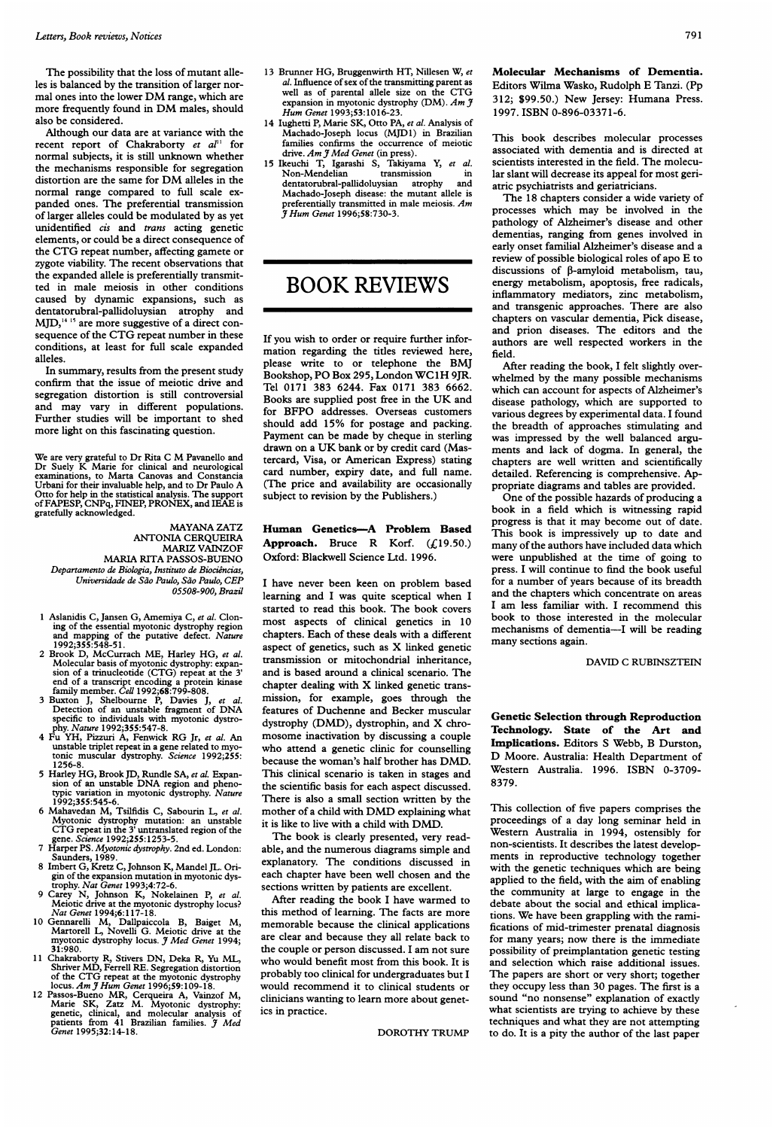The possibility that the loss of mutant alleles is balanced by the transition of larger normal ones into the lower DM range, which are more frequently found in DM males, should also be considered.

Although our data are at variance with the cent report of Chakraborty et  $aI^{(1)}$  for recent report of Chakraborty et  $aI^{\dagger}$ normal subjects, it is still unknown whether the mechanisms responsible for segregation distortion are the same for DM alleles in the normal range compared to full scale expanded ones. The preferential transmission of larger alleles could be modulated by as yet unidentified *cis* and *trans* acting genetic elements, or could be a direct consequence of the CTG repeat number, affecting gamete or zygote viability. The recent observations that the expanded allele is preferentially transmitted in male meiosis in other conditions caused by dynamic expansions, such as dentatorubral-pallidoluysian atrophy and MJD,'4 <sup>15</sup> are more suggestive of a direct consequence of the CTG repeat number in these conditions, at least for full scale expanded alleles.

In summary, results from the present study confirm that the issue of meiotic drive and segregation distortion is still controversial and may vary in different populations. Further studies will be important to shed more light on this fascinating question.

We are very grateful to Dr Rita C M Pavanello and Dr Suely K Marie for clinical and neurological examinations, to Marta Canovas and Constancia Urbani for their invaluable help, and to Dr Paulo A Otto for help in the statistical analysis. The support of FAPESP, CNPq, FINEP, PRONEX, and IEAE is gratefully acknowledged.

MAYANA ZATZ ANTONIA CERQUEIRA MARIZ VAINZOF MARIA RITA PASSOS-BUENO Departamento de Biologia, Instituto de Biociências, Universidade de São Paulo, São Paulo, CEP 05508-900, Brazil

- <sup>1</sup> Aslanidis C, Jansen G, Amemiya C, et al. Cloning of the essential myotonic dystrophy region<br>and mapping of the putative defect. Nature<br>1992;355:548-51.
- 2 Brook D, McCurrach ME, Harley HG, et al.
- Molecular basis of myotonic dystrophy: expansion of a trinucleoide (CTG) repeat at the 3'<br>end of a transcript encoding a protein kinase<br>family member. Cell 1992;68:799-808.<br>3 Buxton J, Shelbourne P, Davies J, et al.<br>Detect
- <sup>4</sup> Fu YH, Pizzuri A, Fenwick RG Jr, et al. An unstable triplet repeat in a gene related to myo-<br>tonic muscular dystrophy. *Science* 1992;**255**: 1256-8.
- 5 Harley HG, Brook JD, Rundle SA, et al. Expansion of an unstable DNA region and pheno-
- typic variation in myotonic dystrophy. Nature<br>1992;355:545-6.<br>6 Mahavedan M, Tsilfidis C, Sabourin L, et al.<br>Myotonic dystrophy mutation: an unstable<br>CTG repeat in the 3' untranslated region of the<br>gene. Science 1992;255:
- 81 G Ferne 1992;255:1253-5.<br>gene. Science 1992;255:1253-5.<br>7 Harper PS. Myotonic dystrophy. 2nd ed. London: Saunders, 1989.<br>8 Imbert G, Kretz C, Johnson K, Mandel JL. Ori-
- 
- 8 Imbert G, Kretz C, Johnson K, Mandel JL. Origin of the expansion mutation in myotonic dystophy. Nat Genet 1993;4:72-6.<br>9 Carey N, Johnson K, Nokelainen P, et al.<br>Meiotic drive at the myotonic dystrophy locus?<br>9 Carey N,
- myotonic dystrophy locus. J Med Genet 1994; 31:980.
- <sup>11</sup> Chakraborty R, Stivers DN, Deka R, Yu ML, Shriver MD, Ferrell RE. Segregation distortion
- of the CTG repeat at the myotonic dystrophy<br>locus. Am J Hum Genet 1996;59:109-18.<br>12 Passos-Bueno MR, Cerqueira A, Vainzof M,<br>Marie SK, Zatz M. Myotonic dystrophy:<br>genetic, clinical, and molecular analysis of<br>patients from
- 13 Brunner HG, Bruggenwirth HT, Nillesen W, et al. Influence of sex of the transmitting parent as well as of parental allele size on the CTG expansion in myotonic dystrophy  $(DM)$ . Am  $\tilde{J}$ Hum Genet 1993;53:1016-23.
- 14 Iughetti P, Marie SK, Otto PA, et al. Analysis of Machado-Joseph locus (MJD1) in Brazilian families confirms the occurrence of meiotic
- drive. Am J Med Genet (in press).<br>15 Ikeuchi T, Igarashi S, Takiyama Y, et al.<br>Non-Mendelian transmission in dentatorubral-pallidoluysian atrophy and Machado-Joseph disease: the mutant allele is preferentially transmitted in male meiosis. Am 3rHum Genet 1996;58:730-3.

# BOOK REVIEWS

If you wish to order or require further information regarding the titles reviewed here, please write to or telephone the BMJ Bookshop, PO Box 295, London WC1H 9JR. Tel 0171 383 6244. Fax 0171 383 6662. Books are supplied post free in the UK and for BFPO addresses. Overseas customers should add 15% for postage and packing. Payment can be made by cheque in sterling drawn on <sup>a</sup> UK bank or by credit card (Mastercard, Visa, or American Express) stating card number, expiry date, and full name. (The price and availability are occasionally subject to revision by the Publishers.)

Human Genetics-A Problem Based Approach. Bruce R Korf.  $(f.19.50.)$ Oxford: Blackwell Science Ltd. 1996.

<sup>I</sup> have never been keen on problem based learning and <sup>I</sup> was quite sceptical when <sup>I</sup> started to read this book. The book covers most aspects of clinical genetics in 10 chapters. Each of these deals with a different aspect of genetics, such as X linked genetic transmission or mitochondrial inheritance, and is based around a clinical scenario. The chapter dealing with X linked genetic transmission, for example, goes through the features of Duchenne and Becker muscular dystrophy (DMD), dystrophin, and X chromosome inactivation by discussing <sup>a</sup> couple who attend a genetic clinic for counselling because the woman's half brother has DMD. This clinical scenario is taken in stages and the scientific basis for each aspect discussed. There is also a small section written by the mother of <sup>a</sup> child with DMD explaining what it is like to live with <sup>a</sup> child with DMD.

The book is clearly presented, very readable, and the numerous diagrams simple and explanatory. The conditions discussed in each chapter have been well chosen and the sections written by patients are excellent.

After reading the book <sup>I</sup> have warmed to this method of learning. The facts are more memorable because the clinical applications are clear and because they all relate back to the couple or person discussed. <sup>I</sup> am not sure who would benefit most from this book. It is probably too clinical for undergraduates but <sup>I</sup> would recommend it to clinical students or clinicians wanting to learn more about genetics in practice.

DOROTHY TRUMP

Molecular Mechanisms of Dementia. Editors Wilma Wasko, Rudolph E Tanzi. (Pp 312; \$99.50.) New Jersey: Humana Press. 1997. ISBN 0-896-03371-6.

This book describes molecular processes associated with dementia and is directed at scientists interested in the field. The molecular slant will decrease its appeal for most geriatric psychiatrists and geriatricians.

The 18 chapters consider a wide variety of processes which may be involved in the pathology of Alzheimer's disease and other dementias, ranging from genes involved in early onset familial Alzheimer's disease and a review of possible biological roles of apo E to discussions of  $\beta$ -amyloid metabolism, tau, energy metabolism, apoptosis, free radicals, inflammatory mediators, zinc metabolism, and transgenic approaches. There are also chapters on vascular dementia, Pick disease, and prion diseases. The editors and the authors are well respected workers in the field.

After reading the book, I felt slightly overwhelmed by the many possible mechanisms which can account for aspects of Alzheimer's disease pathology, which are supported to various degrees by experimental data. <sup>I</sup> found the breadth of approaches stimulating and was impressed by the well balanced arguments and lack of dogma. In general, the chapters are well written and scientifically detailed. Referencing is comprehensive. Appropriate diagrams and tables are provided.

One of the possible hazards of producing a book in a field which is witnessing rapid progress is that it may become out of date. This book is impressively up to date and many of the authors have included data which were unpublished at the time of going to press. <sup>I</sup> will continue to find the book useful for a number of years because of its breadth and the chapters which concentrate on areas <sup>I</sup> am less familiar with. <sup>I</sup> recommend this book to those interested in the molecular mechanisms of dementia-I will be reading many sections again.

DAVID C RUBINSZTEIN

Genetic Selection through Reproduction Technology. State of the Art and Implications. Editors S Webb, B Durston, D Moore. Australia: Health Department of Western Australia. 1996. ISBN 0-3709- 8379.

This collection of five papers comprises the proceedings of a day long seminar held in Western Australia in 1994, ostensibly for non-scientists. It describes the latest developments in reproductive technology together with the genetic techniques which are being applied to the field, with the aim of enabling the community at large to engage in the debate about the social and ethical implications. We have been grappling with the ramifications of mid-trimester prenatal diagnosis for many years; now there is the immediate possibility of preimplantation genetic testing and selection which raise additional issues. The papers are short or very short; together they occupy less than 30 pages. The first is a sound "no nonsense" explanation of exactly what scientists are trying to achieve by these techniques and what they are not attempting to do. It is a pity the author of the last paper